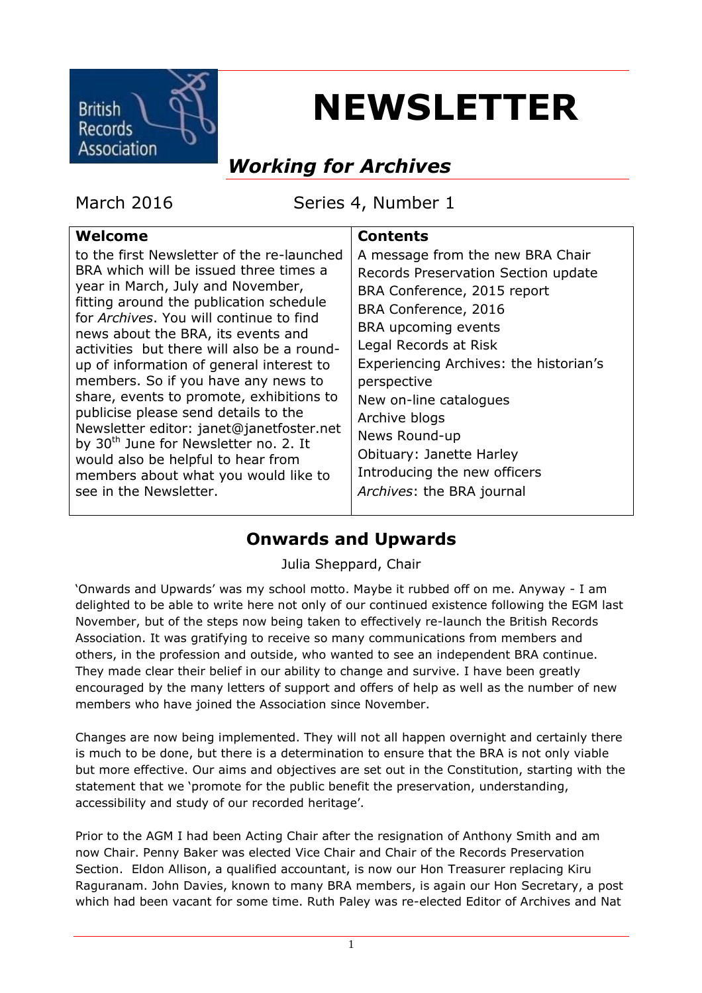

# **NEWSLETTER**

# *Working for Archives*

March 2016 Series 4, Number 1

#### **Welcome**

to the first Newsletter of the re-launched BRA which will be issued three times a year in March, July and November, fitting around the publication schedule for *Archives*. You will continue to find news about the BRA, its events and activities but there will also be a roundup of information of general interest to members. So if you have any news to share, events to promote, exhibitions to publicise please send details to the Newsletter editor: janet@janetfoster.net by 30<sup>th</sup> June for Newsletter no. 2. It would also be helpful to hear from members about what you would like to see in the Newsletter.

#### **Contents**

A message from the new BRA Chair Records Preservation Section update BRA Conference, 2015 report BRA Conference, 2016 BRA upcoming events Legal Records at Risk Experiencing Archives: the historian's perspective New on-line catalogues Archive blogs News Round-up Obituary: Janette Harley Introducing the new officers *Archives*: the BRA journal

# **Onwards and Upwards**

Julia Sheppard, Chair

'Onwards and Upwards' was my school motto. Maybe it rubbed off on me. Anyway - I am delighted to be able to write here not only of our continued existence following the EGM last November, but of the steps now being taken to effectively re-launch the British Records Association. It was gratifying to receive so many communications from members and others, in the profession and outside, who wanted to see an independent BRA continue. They made clear their belief in our ability to change and survive. I have been greatly encouraged by the many letters of support and offers of help as well as the number of new members who have joined the Association since November.

Changes are now being implemented. They will not all happen overnight and certainly there is much to be done, but there is a determination to ensure that the BRA is not only viable but more effective. Our aims and objectives are set out in the Constitution, starting with the statement that we 'promote for the public benefit the preservation, understanding, accessibility and study of our recorded heritage'.

Prior to the AGM I had been Acting Chair after the resignation of Anthony Smith and am now Chair. Penny Baker was elected Vice Chair and Chair of the Records Preservation Section. Eldon Allison, a qualified accountant, is now our Hon Treasurer replacing Kiru Raguranam. John Davies, known to many BRA members, is again our Hon Secretary, a post which had been vacant for some time. Ruth Paley was re-elected Editor of Archives and Nat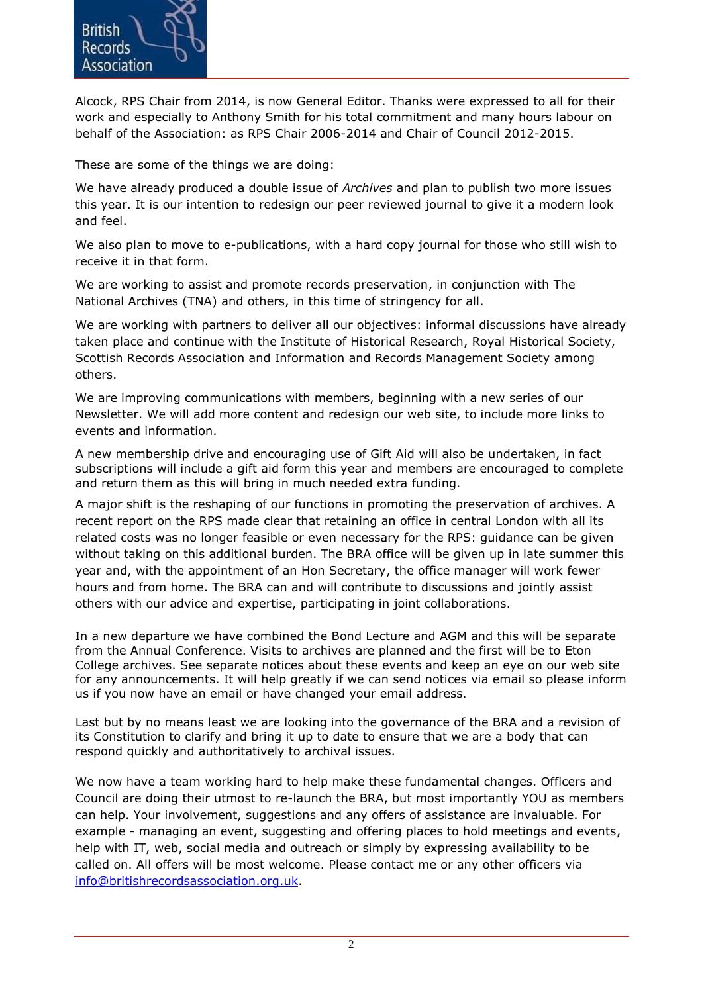

Alcock, RPS Chair from 2014, is now General Editor. Thanks were expressed to all for their work and especially to Anthony Smith for his total commitment and many hours labour on behalf of the Association: as RPS Chair 2006-2014 and Chair of Council 2012-2015.

These are some of the things we are doing:

We have already produced a double issue of *Archives* and plan to publish two more issues this year. It is our intention to redesign our peer reviewed journal to give it a modern look and feel.

We also plan to move to e-publications, with a hard copy journal for those who still wish to receive it in that form.

We are working to assist and promote records preservation, in conjunction with The National Archives (TNA) and others, in this time of stringency for all.

We are working with partners to deliver all our objectives: informal discussions have already taken place and continue with the Institute of Historical Research, Royal Historical Society, Scottish Records Association and Information and Records Management Society among others.

We are improving communications with members, beginning with a new series of our Newsletter. We will add more content and redesign our web site, to include more links to events and information.

A new membership drive and encouraging use of Gift Aid will also be undertaken, in fact subscriptions will include a gift aid form this year and members are encouraged to complete and return them as this will bring in much needed extra funding.

A major shift is the reshaping of our functions in promoting the preservation of archives. A recent report on the RPS made clear that retaining an office in central London with all its related costs was no longer feasible or even necessary for the RPS: guidance can be given without taking on this additional burden. The BRA office will be given up in late summer this year and, with the appointment of an Hon Secretary, the office manager will work fewer hours and from home. The BRA can and will contribute to discussions and jointly assist others with our advice and expertise, participating in joint collaborations.

In a new departure we have combined the Bond Lecture and AGM and this will be separate from the Annual Conference. Visits to archives are planned and the first will be to Eton College archives. See separate notices about these events and keep an eye on our web site for any announcements. It will help greatly if we can send notices via email so please inform us if you now have an email or have changed your email address.

Last but by no means least we are looking into the governance of the BRA and a revision of its Constitution to clarify and bring it up to date to ensure that we are a body that can respond quickly and authoritatively to archival issues.

We now have a team working hard to help make these fundamental changes. Officers and Council are doing their utmost to re-launch the BRA, but most importantly YOU as members can help. Your involvement, suggestions and any offers of assistance are invaluable. For example - managing an event, suggesting and offering places to hold meetings and events, help with IT, web, social media and outreach or simply by expressing availability to be called on. All offers will be most welcome. Please contact me or any other officers via [info@britishrecordsassociation.org.uk.](mailto:info@britishrecordsassociation.org.uk)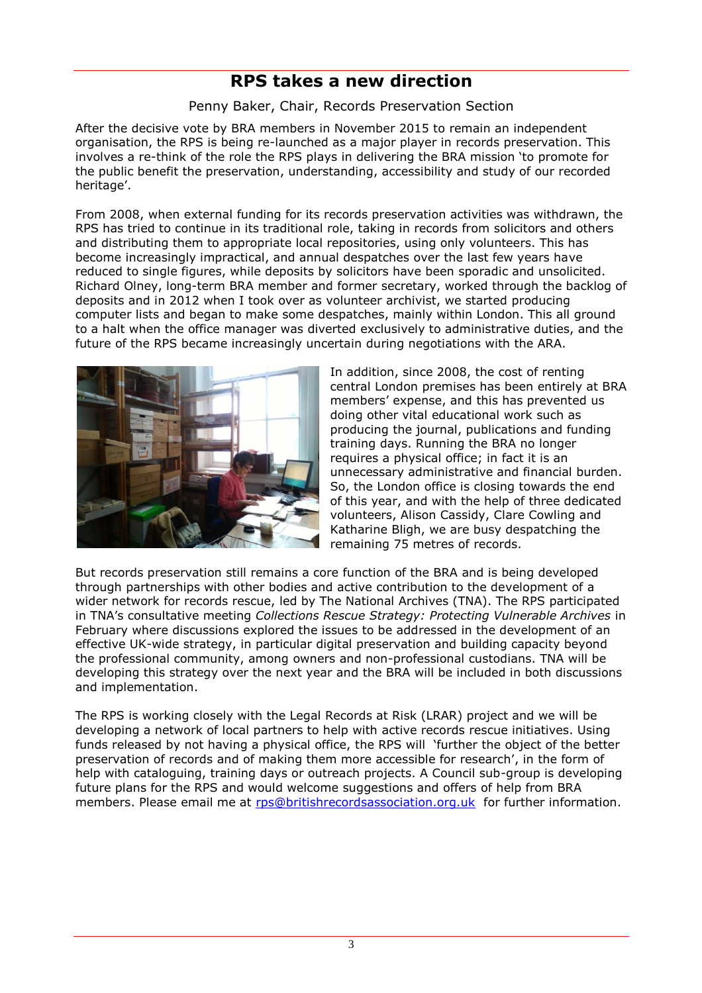# **RPS takes a new direction**

Penny Baker, Chair, Records Preservation Section

After the decisive vote by BRA members in November 2015 to remain an independent organisation, the RPS is being re-launched as a major player in records preservation. This involves a re-think of the role the RPS plays in delivering the BRA mission 'to promote for the public benefit the preservation, understanding, accessibility and study of our recorded heritage'.

From 2008, when external funding for its records preservation activities was withdrawn, the RPS has tried to continue in its traditional role, taking in records from solicitors and others and distributing them to appropriate local repositories, using only volunteers. This has become increasingly impractical, and annual despatches over the last few years have reduced to single figures, while deposits by solicitors have been sporadic and unsolicited. Richard Olney, long-term BRA member and former secretary, worked through the backlog of deposits and in 2012 when I took over as volunteer archivist, we started producing computer lists and began to make some despatches, mainly within London. This all ground to a halt when the office manager was diverted exclusively to administrative duties, and the future of the RPS became increasingly uncertain during negotiations with the ARA.



In addition, since 2008, the cost of renting central London premises has been entirely at BRA members' expense, and this has prevented us doing other vital educational work such as producing the journal, publications and funding training days. Running the BRA no longer requires a physical office; in fact it is an unnecessary administrative and financial burden. So, the London office is closing towards the end of this year, and with the help of three dedicated volunteers, Alison Cassidy, Clare Cowling and Katharine Bligh, we are busy despatching the remaining 75 metres of records.

But records preservation still remains a core function of the BRA and is being developed through partnerships with other bodies and active contribution to the development of a wider network for records rescue, led by The National Archives (TNA). The RPS participated in TNA's consultative meeting *Collections Rescue Strategy: Protecting Vulnerable Archives* in February where discussions explored the issues to be addressed in the development of an effective UK-wide strategy, in particular digital preservation and building capacity beyond the professional community, among owners and non-professional custodians. TNA will be developing this strategy over the next year and the BRA will be included in both discussions and implementation.

The RPS is working closely with the Legal Records at Risk (LRAR) project and we will be developing a network of local partners to help with active records rescue initiatives. Using funds released by not having a physical office, the RPS will 'further the object of the better preservation of records and of making them more accessible for research', in the form of help with cataloguing, training days or outreach projects. A Council sub-group is developing future plans for the RPS and would welcome suggestions and offers of help from BRA members. Please email me at [rps@britishrecordsassociation.org.uk](mailto:rps@britishrecordsassociation.org.uk) for further information.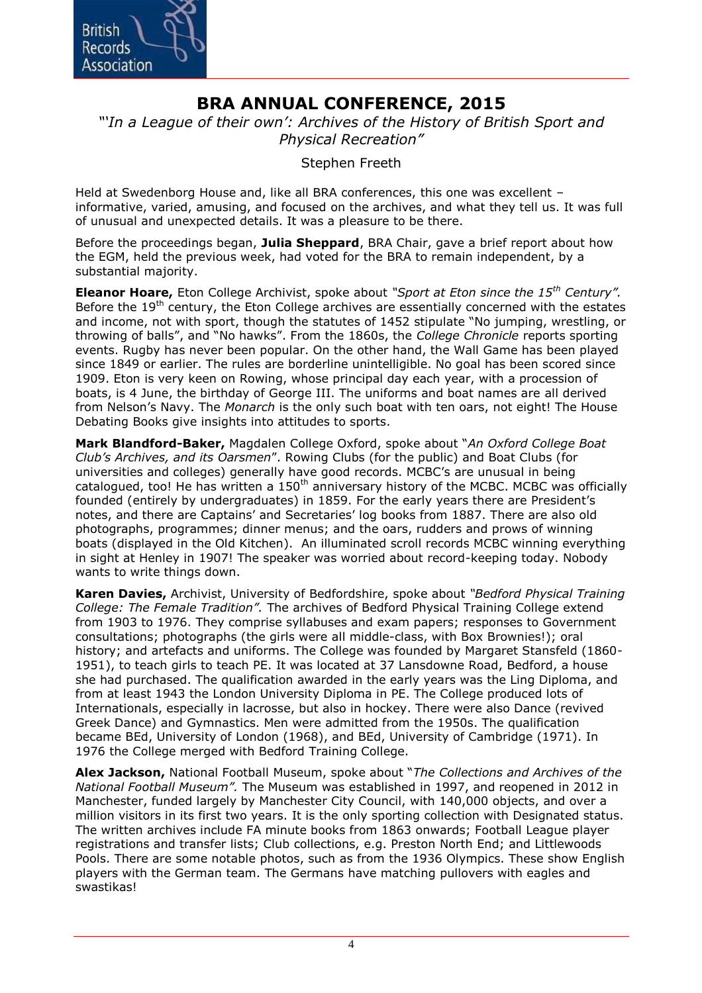

# **BRA ANNUAL CONFERENCE, 2015**

*"'In a League of their own': Archives of the History of British Sport and Physical Recreation"*

Stephen Freeth

Held at Swedenborg House and, like all BRA conferences, this one was excellent – informative, varied, amusing, and focused on the archives, and what they tell us. It was full of unusual and unexpected details. It was a pleasure to be there.

Before the proceedings began, **Julia Sheppard**, BRA Chair, gave a brief report about how the EGM, held the previous week, had voted for the BRA to remain independent, by a substantial majority.

**Eleanor Hoare,** Eton College Archivist, spoke about *"Sport at Eton since the 15th Century".*  Before the  $19<sup>th</sup>$  century, the Eton College archives are essentially concerned with the estates and income, not with sport, though the statutes of 1452 stipulate "No jumping, wrestling, or throwing of balls", and "No hawks". From the 1860s, the *College Chronicle* reports sporting events. Rugby has never been popular. On the other hand, the Wall Game has been played since 1849 or earlier. The rules are borderline unintelligible. No goal has been scored since 1909. Eton is very keen on Rowing, whose principal day each year, with a procession of boats, is 4 June, the birthday of George III. The uniforms and boat names are all derived from Nelson's Navy. The *Monarch* is the only such boat with ten oars, not eight! The House Debating Books give insights into attitudes to sports.

**Mark Blandford-Baker,** Magdalen College Oxford, spoke about "*An Oxford College Boat Club's Archives, and its Oarsmen*". Rowing Clubs (for the public) and Boat Clubs (for universities and colleges) generally have good records. MCBC's are unusual in being catalogued, too! He has written a  $150<sup>th</sup>$  anniversary history of the MCBC. MCBC was officially founded (entirely by undergraduates) in 1859. For the early years there are President's notes, and there are Captains' and Secretaries' log books from 1887. There are also old photographs, programmes; dinner menus; and the oars, rudders and prows of winning boats (displayed in the Old Kitchen). An illuminated scroll records MCBC winning everything in sight at Henley in 1907! The speaker was worried about record-keeping today. Nobody wants to write things down.

**Karen Davies,** Archivist, University of Bedfordshire, spoke about *"Bedford Physical Training College: The Female Tradition".* The archives of Bedford Physical Training College extend from 1903 to 1976. They comprise syllabuses and exam papers; responses to Government consultations; photographs (the girls were all middle-class, with Box Brownies!); oral history; and artefacts and uniforms. The College was founded by Margaret Stansfeld (1860- 1951), to teach girls to teach PE. It was located at 37 Lansdowne Road, Bedford, a house she had purchased. The qualification awarded in the early years was the Ling Diploma, and from at least 1943 the London University Diploma in PE. The College produced lots of Internationals, especially in lacrosse, but also in hockey. There were also Dance (revived Greek Dance) and Gymnastics. Men were admitted from the 1950s. The qualification became BEd, University of London (1968), and BEd, University of Cambridge (1971). In 1976 the College merged with Bedford Training College.

**Alex Jackson,** National Football Museum, spoke about "*The Collections and Archives of the National Football Museum".* The Museum was established in 1997, and reopened in 2012 in Manchester, funded largely by Manchester City Council, with 140,000 objects, and over a million visitors in its first two years. It is the only sporting collection with Designated status. The written archives include FA minute books from 1863 onwards; Football League player registrations and transfer lists; Club collections, e.g. Preston North End; and Littlewoods Pools. There are some notable photos, such as from the 1936 Olympics. These show English players with the German team. The Germans have matching pullovers with eagles and swastikas!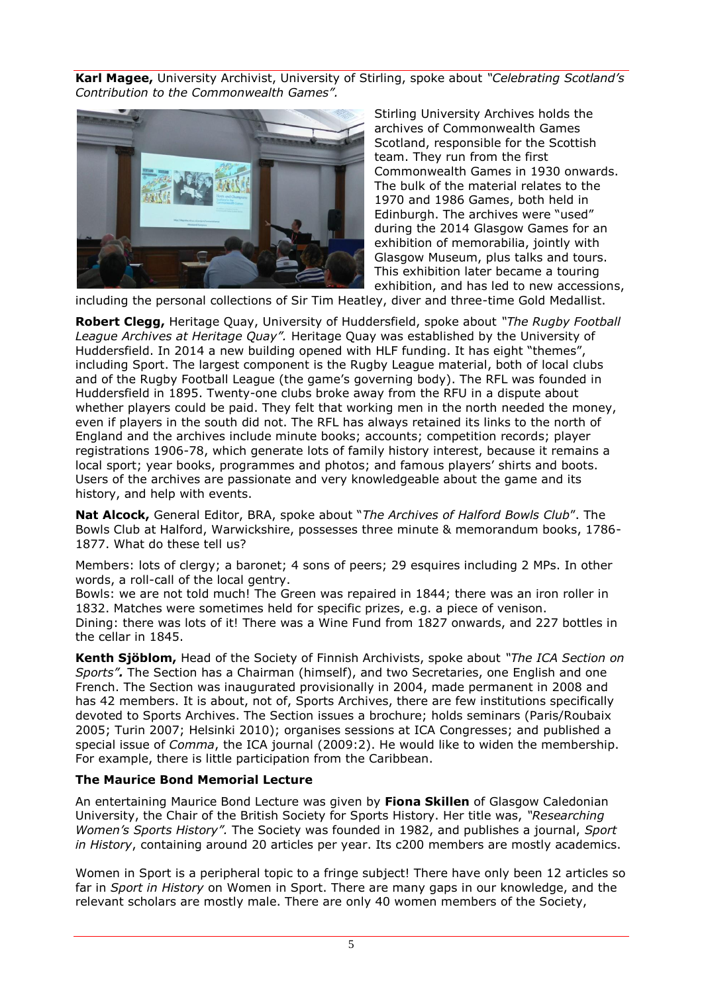**Karl Magee,** University Archivist, University of Stirling, spoke about *"Celebrating Scotland's Contribution to the Commonwealth Games".*



Stirling University Archives holds the archives of Commonwealth Games Scotland, responsible for the Scottish team. They run from the first Commonwealth Games in 1930 onwards. The bulk of the material relates to the 1970 and 1986 Games, both held in Edinburgh. The archives were "used" during the 2014 Glasgow Games for an exhibition of memorabilia, jointly with Glasgow Museum, plus talks and tours. This exhibition later became a touring exhibition, and has led to new accessions,

including the personal collections of Sir Tim Heatley, diver and three-time Gold Medallist.

**Robert Clegg,** Heritage Quay, University of Huddersfield, spoke about *"The Rugby Football League Archives at Heritage Quay".* Heritage Quay was established by the University of Huddersfield. In 2014 a new building opened with HLF funding. It has eight "themes", including Sport. The largest component is the Rugby League material, both of local clubs and of the Rugby Football League (the game's governing body). The RFL was founded in Huddersfield in 1895. Twenty-one clubs broke away from the RFU in a dispute about whether players could be paid. They felt that working men in the north needed the money, even if players in the south did not. The RFL has always retained its links to the north of England and the archives include minute books; accounts; competition records; player registrations 1906-78, which generate lots of family history interest, because it remains a local sport; year books, programmes and photos; and famous players' shirts and boots. Users of the archives are passionate and very knowledgeable about the game and its history, and help with events.

**Nat Alcock,** General Editor, BRA, spoke about "*The Archives of Halford Bowls Club*". The Bowls Club at Halford, Warwickshire, possesses three minute & memorandum books, 1786- 1877. What do these tell us?

Members: lots of clergy; a baronet; 4 sons of peers; 29 esquires including 2 MPs. In other words, a roll-call of the local gentry.

Bowls: we are not told much! The Green was repaired in 1844; there was an iron roller in 1832. Matches were sometimes held for specific prizes, e.g. a piece of venison. Dining: there was lots of it! There was a Wine Fund from 1827 onwards, and 227 bottles in the cellar in 1845.

**Kenth Sjöblom,** Head of the Society of Finnish Archivists, spoke about *"The ICA Section on Sports".* The Section has a Chairman (himself), and two Secretaries, one English and one French. The Section was inaugurated provisionally in 2004, made permanent in 2008 and has 42 members. It is about, not of, Sports Archives, there are few institutions specifically devoted to Sports Archives. The Section issues a brochure; holds seminars (Paris/Roubaix 2005; Turin 2007; Helsinki 2010); organises sessions at ICA Congresses; and published a special issue of *Comma*, the ICA journal (2009:2). He would like to widen the membership. For example, there is little participation from the Caribbean.

#### **The Maurice Bond Memorial Lecture**

An entertaining Maurice Bond Lecture was given by **Fiona Skillen** of Glasgow Caledonian University, the Chair of the British Society for Sports History. Her title was, *"Researching Women's Sports History".* The Society was founded in 1982, and publishes a journal, *Sport in History*, containing around 20 articles per year. Its c200 members are mostly academics.

Women in Sport is a peripheral topic to a fringe subject! There have only been 12 articles so far in *Sport in History* on Women in Sport. There are many gaps in our knowledge, and the relevant scholars are mostly male. There are only 40 women members of the Society,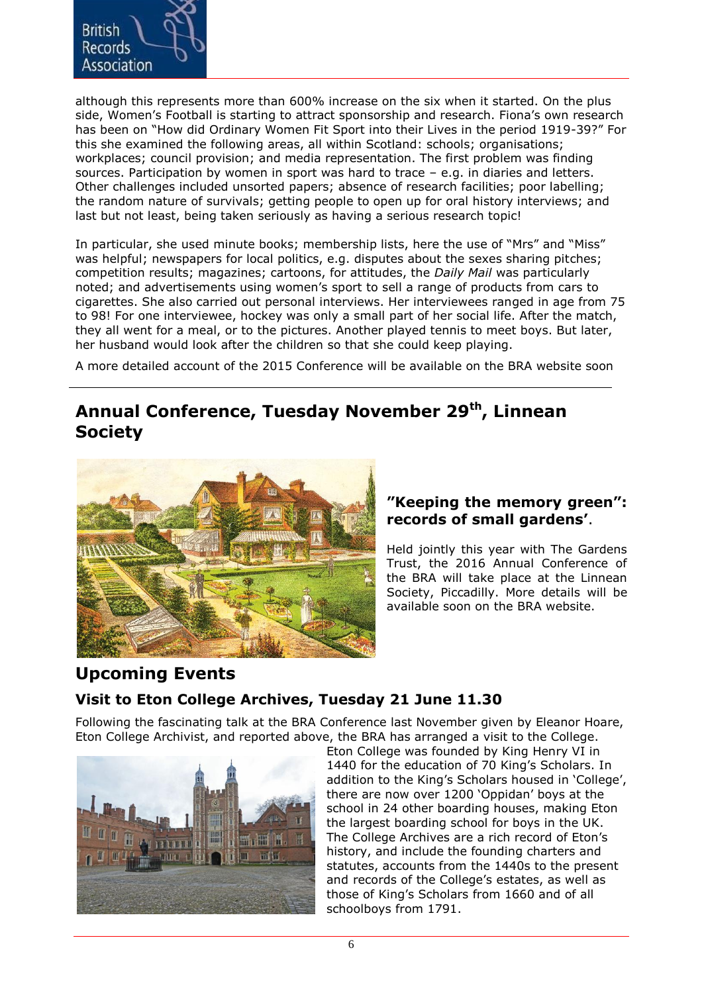

although this represents more than 600% increase on the six when it started. On the plus side, Women's Football is starting to attract sponsorship and research. Fiona's own research has been on "How did Ordinary Women Fit Sport into their Lives in the period 1919-39?" For this she examined the following areas, all within Scotland: schools; organisations; workplaces; council provision; and media representation. The first problem was finding sources. Participation by women in sport was hard to trace – e.g. in diaries and letters. Other challenges included unsorted papers; absence of research facilities; poor labelling; the random nature of survivals; getting people to open up for oral history interviews; and last but not least, being taken seriously as having a serious research topic!

In particular, she used minute books; membership lists, here the use of "Mrs" and "Miss" was helpful; newspapers for local politics, e.g. disputes about the sexes sharing pitches; competition results; magazines; cartoons, for attitudes, the *Daily Mail* was particularly noted; and advertisements using women's sport to sell a range of products from cars to cigarettes. She also carried out personal interviews. Her interviewees ranged in age from 75 to 98! For one interviewee, hockey was only a small part of her social life. After the match, they all went for a meal, or to the pictures. Another played tennis to meet boys. But later, her husband would look after the children so that she could keep playing.

A more detailed account of the 2015 Conference will be available on the BRA website soon

### **Annual Conference, Tuesday November 29th , Linnean Society**



#### **"Keeping the memory green": records of small gardens'**.

Held jointly this year with The Gardens Trust, the 2016 Annual Conference of the BRA will take place at the Linnean Society, Piccadilly. More details will be available soon on the BRA website.

# **Upcoming Events**

#### **Visit to Eton College Archives, Tuesday 21 June 11.30**

Following the fascinating talk at the BRA Conference last November given by Eleanor Hoare, Eton College Archivist, and reported above, the BRA has arranged a visit to the College.



Eton College was founded by King Henry VI in 1440 for the education of 70 King's Scholars. In addition to the King's Scholars housed in 'College', there are now over 1200 'Oppidan' boys at the school in 24 other boarding houses, making Eton the largest boarding school for boys in the UK. The College Archives are a rich record of Eton's history, and include the founding charters and statutes, accounts from the 1440s to the present and records of the College's estates, as well as those of King's Scholars from 1660 and of all schoolboys from 1791.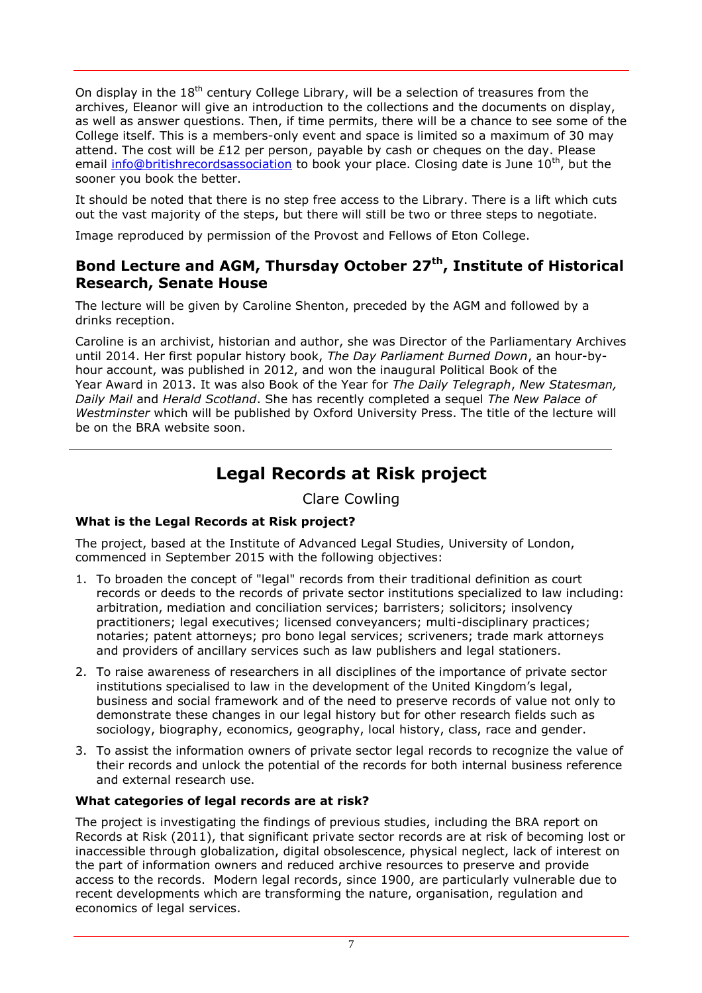On display in the  $18<sup>th</sup>$  century College Library, will be a selection of treasures from the archives, Eleanor will give an introduction to the collections and the documents on display, as well as answer questions. Then, if time permits, there will be a chance to see some of the College itself. This is a members-only event and space is limited so a maximum of 30 may attend. The cost will be £12 per person, payable by cash or cheques on the day. Please email info@britishrecordsassociation to book your place. Closing date is June 10<sup>th</sup>, but the sooner you book the better.

It should be noted that there is no step free access to the Library. There is a lift which cuts out the vast majority of the steps, but there will still be two or three steps to negotiate.

Image reproduced by permission of the Provost and Fellows of Eton College.

#### **Bond Lecture and AGM, Thursday October 27th , Institute of Historical Research, Senate House**

The lecture will be given by Caroline Shenton, preceded by the AGM and followed by a drinks reception.

Caroline is an archivist, historian and author, she was Director of the Parliamentary Archives until 2014. Her first popular history book, *[The Day Parliament Burned Down](http://www.carolineshenton.co.uk/wp/books/)*, an hour-byhour account, was published in 2012, and won the inaugural Political Book of the Year Award in 2013. It was also Book of the Year for *The Daily Telegraph*, *New Statesman, Daily Mail* and *Herald Scotland*. She has recently completed a sequel *The New Palace of Westminster* which will be published by Oxford University Press. The title of the lecture will be on the BRA website soon.

# **Legal Records at Risk project**

Clare Cowling

#### **What is the Legal Records at Risk project?**

The project, based at the Institute of Advanced Legal Studies, University of London, commenced in September 2015 with the following objectives:

- 1. To broaden the concept of "legal" records from their traditional definition as court records or deeds to the records of private sector institutions specialized to law including: arbitration, mediation and conciliation services; barristers; solicitors; insolvency practitioners; legal executives; licensed conveyancers; multi-disciplinary practices; notaries; patent attorneys; pro bono legal services; scriveners; trade mark attorneys and providers of ancillary services such as law publishers and legal stationers.
- 2. To raise awareness of researchers in all disciplines of the importance of private sector institutions specialised to law in the development of the United Kingdom's legal, business and social framework and of the need to preserve records of value not only to demonstrate these changes in our legal history but for other research fields such as sociology, biography, economics, geography, local history, class, race and gender.
- 3. To assist the information owners of private sector legal records to recognize the value of their records and unlock the potential of the records for both internal business reference and external research use.

#### **What categories of legal records are at risk?**

The project is investigating the findings of previous studies, including the BRA report on Records at Risk (2011), that significant private sector records are at risk of becoming lost or inaccessible through globalization, digital obsolescence, physical neglect, lack of interest on the part of information owners and reduced archive resources to preserve and provide access to the records. Modern legal records, since 1900, are particularly vulnerable due to recent developments which are transforming the nature, organisation, regulation and economics of legal services.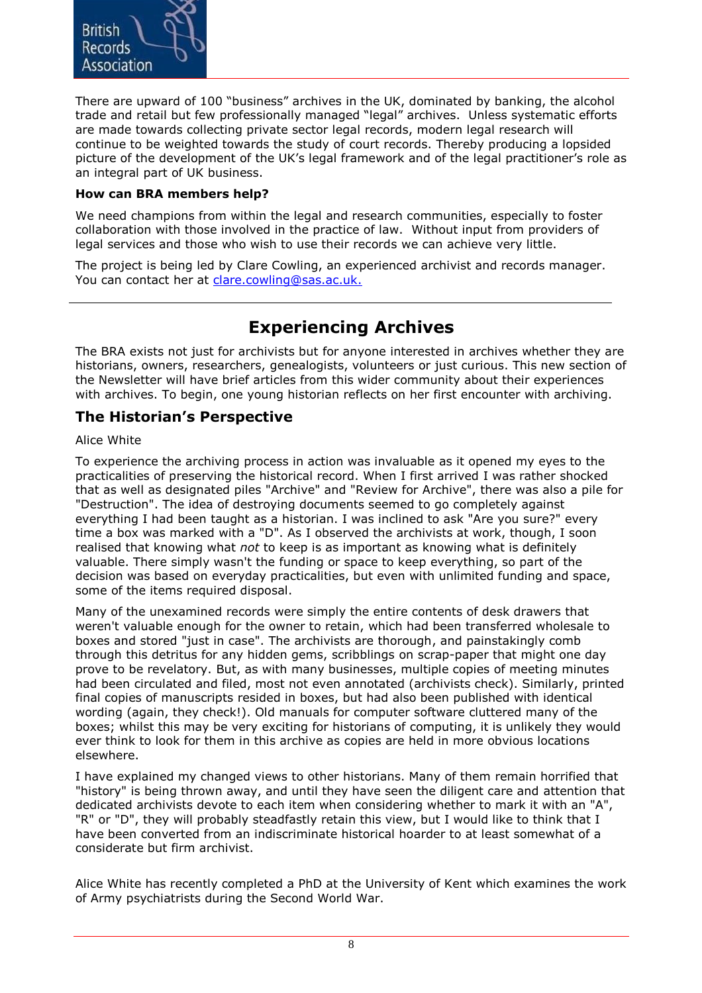

There are upward of 100 "business" archives in the UK, dominated by banking, the alcohol trade and retail but few professionally managed "legal" archives. Unless systematic efforts are made towards collecting private sector legal records, modern legal research will continue to be weighted towards the study of court records. Thereby producing a lopsided picture of the development of the UK's legal framework and of the legal practitioner's role as an integral part of UK business.

#### **How can BRA members help?**

We need champions from within the legal and research communities, especially to foster collaboration with those involved in the practice of law. Without input from providers of legal services and those who wish to use their records we can achieve very little.

The project is being led by Clare Cowling, an experienced archivist and records manager. You can contact her at [clare.cowling@sas.ac.uk.](mailto:clare.cowling@sas.ac.uk)

## **Experiencing Archives**

The BRA exists not just for archivists but for anyone interested in archives whether they are historians, owners, researchers, genealogists, volunteers or just curious. This new section of the Newsletter will have brief articles from this wider community about their experiences with archives. To begin, one young historian reflects on her first encounter with archiving.

#### **The Historian's Perspective**

#### Alice White

To experience the archiving process in action was invaluable as it opened my eyes to the practicalities of preserving the historical record. When I first arrived I was rather shocked that as well as designated piles "Archive" and "Review for Archive", there was also a pile for "Destruction". The idea of destroying documents seemed to go completely against everything I had been taught as a historian. I was inclined to ask "Are you sure?" every time a box was marked with a "D". As I observed the archivists at work, though, I soon realised that knowing what *not* to keep is as important as knowing what is definitely valuable. There simply wasn't the funding or space to keep everything, so part of the decision was based on everyday practicalities, but even with unlimited funding and space, some of the items required disposal.

Many of the unexamined records were simply the entire contents of desk drawers that weren't valuable enough for the owner to retain, which had been transferred wholesale to boxes and stored "just in case". The archivists are thorough, and painstakingly comb through this detritus for any hidden gems, scribblings on scrap-paper that might one day prove to be revelatory. But, as with many businesses, multiple copies of meeting minutes had been circulated and filed, most not even annotated (archivists check). Similarly, printed final copies of manuscripts resided in boxes, but had also been published with identical wording (again, they check!). Old manuals for computer software cluttered many of the boxes; whilst this may be very exciting for historians of computing, it is unlikely they would ever think to look for them in this archive as copies are held in more obvious locations elsewhere.

I have explained my changed views to other historians. Many of them remain horrified that "history" is being thrown away, and until they have seen the diligent care and attention that dedicated archivists devote to each item when considering whether to mark it with an "A", "R" or "D", they will probably steadfastly retain this view, but I would like to think that I have been converted from an indiscriminate historical hoarder to at least somewhat of a considerate but firm archivist.

Alice White has recently completed a PhD at the University of Kent which examines the work of Army psychiatrists during the Second World War.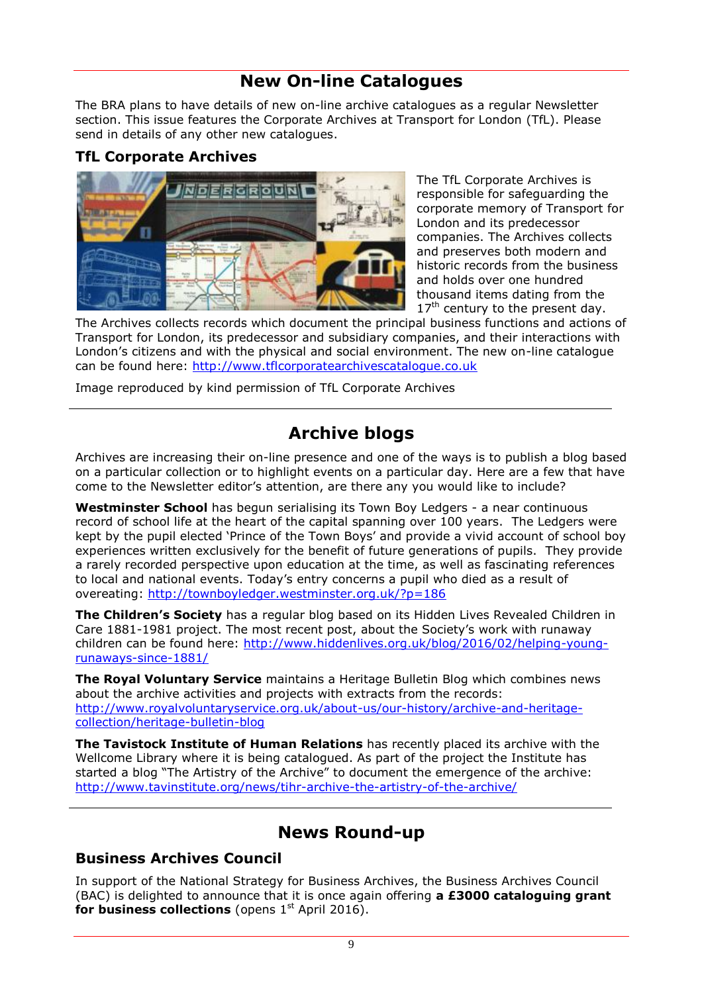# **New On-line Catalogues**

The BRA plans to have details of new on-line archive catalogues as a regular Newsletter section. This issue features the Corporate Archives at Transport for London (TfL). Please send in details of any other new catalogues.

#### **TfL Corporate Archives**



The TfL Corporate Archives is responsible for safeguarding the corporate memory of Transport for London and its predecessor companies. The Archives collects and preserves both modern and historic records from the business and holds over one hundred thousand items dating from the  $17<sup>th</sup>$  century to the present day.

The Archives collects records which document the principal business functions and actions of Transport for London, its predecessor and subsidiary companies, and their interactions with London's citizens and with the physical and social environment. The new on-line catalogue can be found here: http://www.tflcorporatearchivescatalogue.co.uk

Image reproduced by kind permission of TfL Corporate Archives

# **Archive blogs**

Archives are increasing their on-line presence and one of the ways is to publish a blog based on a particular collection or to highlight events on a particular day. Here are a few that have come to the Newsletter editor's attention, are there any you would like to include?

**Westminster School** has begun serialising its Town Boy Ledgers - a near continuous record of school life at the heart of the capital spanning over 100 years. The Ledgers were kept by the pupil elected 'Prince of the Town Boys' and provide a vivid account of school boy experiences written exclusively for the benefit of future generations of pupils. They provide a rarely recorded perspective upon education at the time, as well as fascinating references to local and national events. Today's entry concerns a pupil who died as a result of overeating:<http://townboyledger.westminster.org.uk/?p=186>

**The Children's Society** has a regular blog based on its Hidden Lives Revealed Children in Care 1881-1981 project. The most recent post, about the Society's work with runaway children can be found here: [http://www.hiddenlives.org.uk/blog/2016/02/helping-young](http://www.hiddenlives.org.uk/blog/2016/02/helping-young-runaways-since-1881/)[runaways-since-1881/](http://www.hiddenlives.org.uk/blog/2016/02/helping-young-runaways-since-1881/)

**The Royal Voluntary Service** maintains a Heritage Bulletin Blog which combines news about the archive activities and projects with extracts from the records: http://www.royalvoluntaryservice.org.uk/about-us/our-history/archive-and-heritagecollection/heritage-bulletin-blog

**The Tavistock Institute of Human Relations** has recently placed its archive with the Wellcome Library where it is being catalogued. As part of the project the Institute has started a blog "The Artistry of the Archive" to document the emergence of the archive: http://www.tavinstitute.org/news/tihr-archive-the-artistry-of-the-archive/

# **News Round-up**

#### **Business Archives Council**

In support of the National Strategy for Business Archives, the Business Archives Council (BAC) is delighted to announce that it is once again offering **a £3000 cataloguing grant**  for business collections (opens 1<sup>st</sup> April 2016).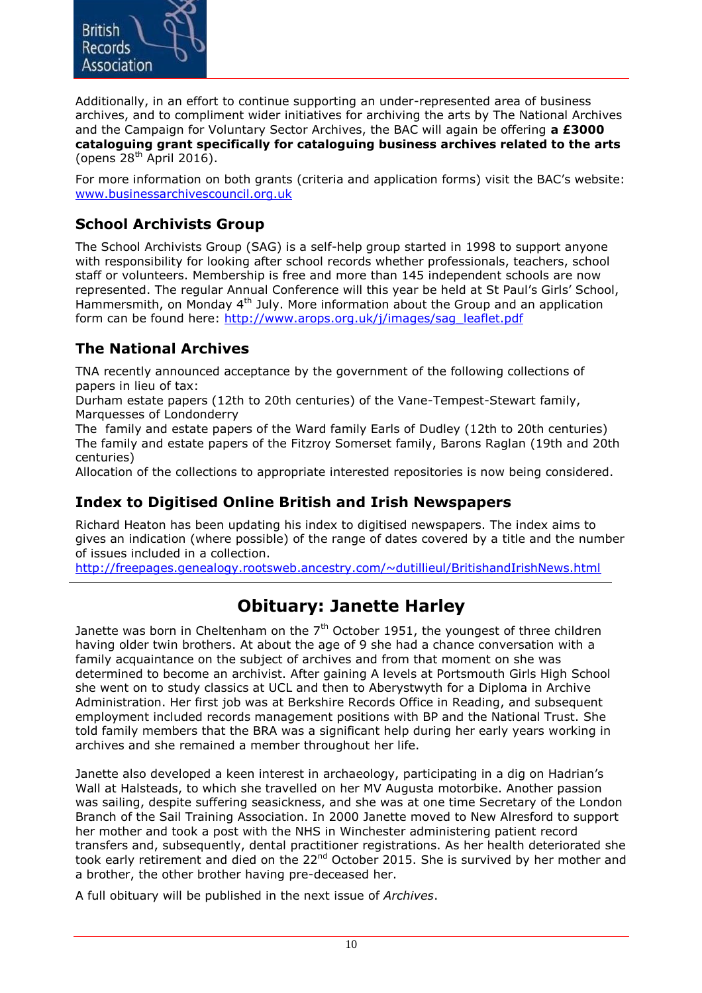

Additionally, in an effort to continue supporting an under-represented area of business archives, and to compliment wider initiatives for archiving the arts by The National Archives and the Campaign for Voluntary Sector Archives, the BAC will again be offering **a £3000 cataloguing grant specifically for cataloguing business archives related to the arts** (opens  $28^{th}$  April 2016).

For more information on both grants (criteria and application forms) visit the BAC's website: [www.businessarchivescouncil.org.uk](http://www.businessarchivescouncil.org.uk/)

#### **School Archivists Group**

The School Archivists Group (SAG) is a self-help group started in 1998 to support anyone with responsibility for looking after school records whether professionals, teachers, school staff or volunteers. Membership is free and more than 145 independent schools are now represented. The regular Annual Conference will this year be held at St Paul's Girls' School, Hammersmith, on Monday 4<sup>th</sup> July. More information about the Group and an application form can be found here: http://www.arops.org.uk/j/images/sag\_leaflet.pdf

#### **The National Archives**

TNA recently announced acceptance by the government of the following collections of papers in lieu of tax:

Durham estate papers (12th to 20th centuries) of the Vane-Tempest-Stewart family, Marquesses of Londonderry

The family and estate papers of the Ward family Earls of Dudley (12th to 20th centuries) The family and estate papers of the Fitzroy Somerset family, Barons Raglan (19th and 20th centuries)

Allocation of the collections to appropriate interested repositories is now being considered.

#### **Index to Digitised Online British and Irish Newspapers**

Richard Heaton has been updating his index to digitised newspapers. The index aims to gives an indication (where possible) of the range of dates covered by a title and the number of issues included in a collection.

http://freepages.genealogy.rootsweb.ancestry.com/~dutillieul/BritishandIrishNews.html

# **Obituary: Janette Harley**

Janette was born in Cheltenham on the  $7<sup>th</sup>$  October 1951, the youngest of three children having older twin brothers. At about the age of 9 she had a chance conversation with a family acquaintance on the subject of archives and from that moment on she was determined to become an archivist. After gaining A levels at Portsmouth Girls High School she went on to study classics at UCL and then to Aberystwyth for a Diploma in Archive Administration. Her first job was at Berkshire Records Office in Reading, and subsequent employment included records management positions with BP and the National Trust. She told family members that the BRA was a significant help during her early years working in archives and she remained a member throughout her life.

Janette also developed a keen interest in archaeology, participating in a dig on Hadrian's Wall at Halsteads, to which she travelled on her MV Augusta motorbike. Another passion was sailing, despite suffering seasickness, and she was at one time Secretary of the London Branch of the Sail Training Association. In 2000 Janette moved to New Alresford to support her mother and took a post with the NHS in Winchester administering patient record transfers and, subsequently, dental practitioner registrations. As her health deteriorated she took early retirement and died on the 22<sup>nd</sup> October 2015. She is survived by her mother and a brother, the other brother having pre-deceased her.

A full obituary will be published in the next issue of *Archives*.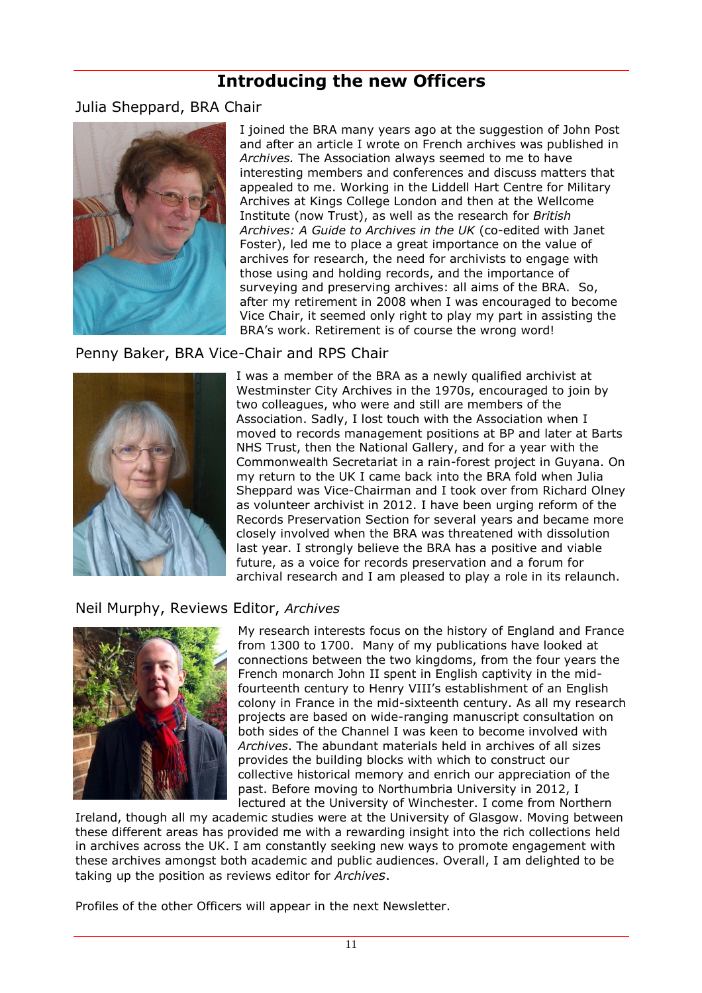## **Introducing the new Officers**

Julia Sheppard, BRA Chair



I joined the BRA many years ago at the suggestion of John Post and after an article I wrote on French archives was published in *Archives.* The Association always seemed to me to have interesting members and conferences and discuss matters that appealed to me. Working in the Liddell Hart Centre for Military Archives at Kings College London and then at the Wellcome Institute (now Trust), as well as the research for *British Archives: A Guide to Archives in the UK* (co-edited with Janet Foster), led me to place a great importance on the value of archives for research, the need for archivists to engage with those using and holding records, and the importance of surveying and preserving archives: all aims of the BRA. So, after my retirement in 2008 when I was encouraged to become Vice Chair, it seemed only right to play my part in assisting the BRA's work. Retirement is of course the wrong word!

#### Penny Baker, BRA Vice-Chair and RPS Chair



I was a member of the BRA as a newly qualified archivist at Westminster City Archives in the 1970s, encouraged to join by two colleagues, who were and still are members of the Association. Sadly, I lost touch with the Association when I moved to records management positions at BP and later at Barts NHS Trust, then the National Gallery, and for a year with the Commonwealth Secretariat in a rain-forest project in Guyana. On my return to the UK I came back into the BRA fold when Julia Sheppard was Vice-Chairman and I took over from Richard Olney as volunteer archivist in 2012. I have been urging reform of the Records Preservation Section for several years and became more closely involved when the BRA was threatened with dissolution last year. I strongly believe the BRA has a positive and viable future, as a voice for records preservation and a forum for archival research and I am pleased to play a role in its relaunch.

#### Neil Murphy, Reviews Editor, *Archives*



My research interests focus on the history of England and France from 1300 to 1700. Many of my publications have looked at connections between the two kingdoms, from the four years the French monarch John II spent in English captivity in the midfourteenth century to Henry VIII's establishment of an English colony in France in the mid-sixteenth century. As all my research projects are based on wide-ranging manuscript consultation on both sides of the Channel I was keen to become involved with *Archives*. The abundant materials held in archives of all sizes provides the building blocks with which to construct our collective historical memory and enrich our appreciation of the past. Before moving to Northumbria University in 2012, I lectured at the University of Winchester. I come from Northern

Ireland, though all my academic studies were at the University of Glasgow. Moving between these different areas has provided me with a rewarding insight into the rich collections held in archives across the UK. I am constantly seeking new ways to promote engagement with these archives amongst both academic and public audiences. Overall, I am delighted to be taking up the position as reviews editor for *Archives*.

Profiles of the other Officers will appear in the next Newsletter.